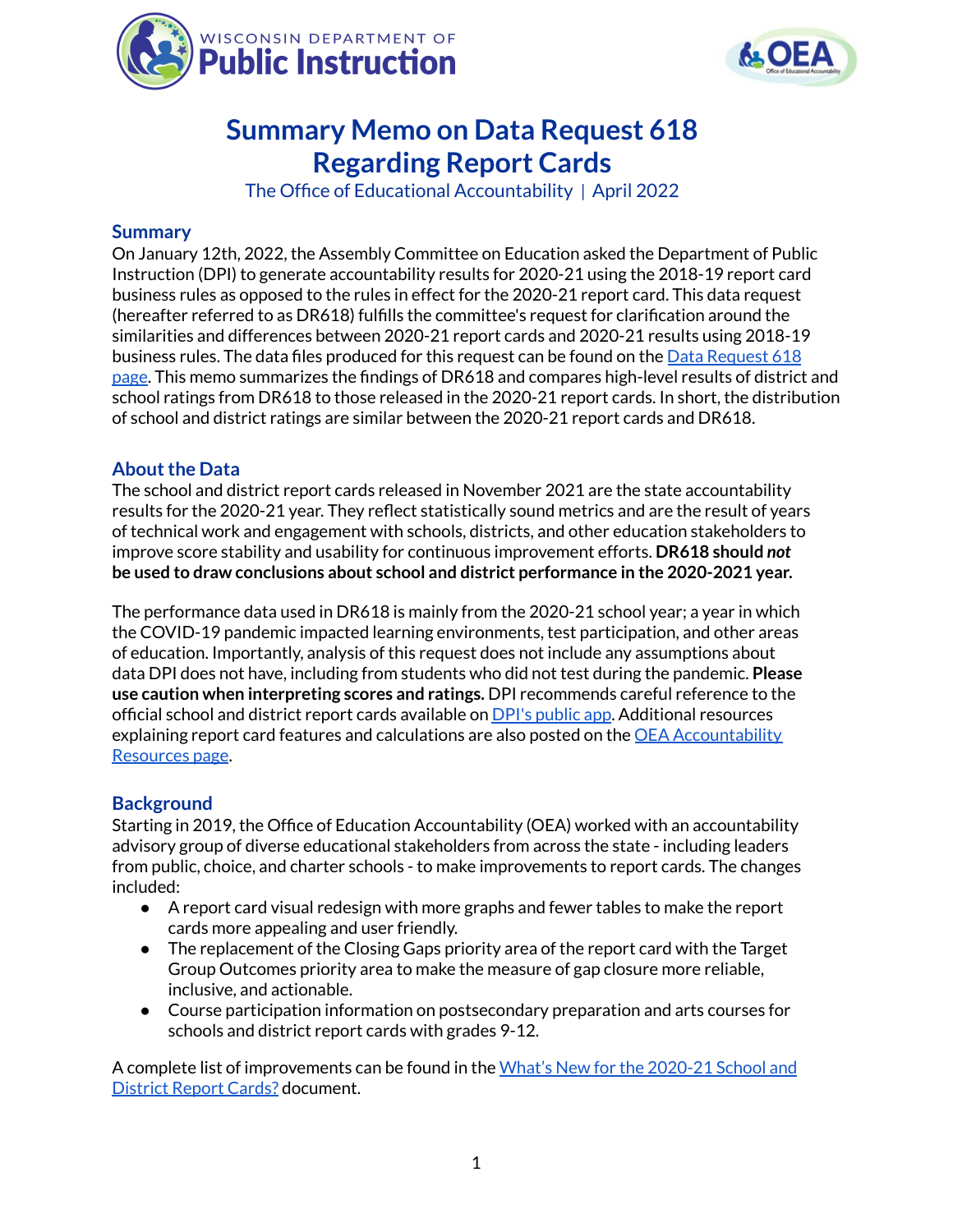



# **Summary Memo on Data Request 618 Regarding Report Cards**

The Office of Educational Accountability | April 2022

#### **Summary**

On January 12th, 2022, the Assembly Committee on Education asked the Department of Public Instruction (DPI) to generate accountability results for 2020-21 using the 2018-19 report card business rules as opposed to the rules in effect for the 2020-21 report card. This data request (hereafter referred to as DR618) fulfills the committee's request for clarification around the similarities and differences between 2020-21 report cards and 2020-21 results using 2018-19 business rules. The data files produced for this request can be found on the Data [Request](https://dpi.wi.gov/accountability/historical/data-request-618) 618 [page](https://dpi.wi.gov/accountability/historical/data-request-618). This memo summarizes the findings of DR618 and compares high-level results of district and school ratings from DR618 to those released in the 2020-21 report cards. In short, the distribution of school and district ratings are similar between the 2020-21 report cards and DR618.

### **About the Data**

The school and district report cards released in November 2021 are the state accountability results for the 2020-21 year. They reflect statistically sound metrics and are the result of years of technical work and engagement with schools, districts, and other education stakeholders to improve score stability and usability for continuous improvement efforts. **DR618 should** *not* **be used to draw conclusions about school and district performance in the 2020-2021 year.**

The performance data used in DR618 is mainly from the 2020-21 school year; a year in which the COVID-19 pandemic impacted learning environments, test participation, and other areas of education. Importantly, analysis of this request does not include any assumptions about data DPI does not have, including from students who did not test during the pandemic. **Please use caution when interpreting scores and ratings.** DPI recommends careful reference to the official school and district report cards available on DPI's [public](https://apps2.dpi.wi.gov/reportcards/) app. Additional resources explaining report card features and calculations are also posted on the OEA [Accountability](https://dpi.wi.gov/accountability/resources) [Resources](https://dpi.wi.gov/accountability/resources) page.

#### **Background**

Starting in 2019, the Office of Education Accountability (OEA) worked with an accountability advisory group of diverse educational stakeholders from across the state - including leaders from public, choice, and charter schools - to make improvements to report cards. The changes included:

- A report card visual redesign with more graphs and fewer tables to make the report cards more appealing and user friendly.
- The replacement of the Closing Gaps priority area of the report card with the Target Group Outcomes priority area to make the measure of gap closure more reliable, inclusive, and actionable.
- Course participation information on postsecondary preparation and arts courses for schools and district report cards with grades 9-12.

A complete list of improvements can be found in the What's New for the [2020-21](https://dpi.wi.gov/sites/default/files/imce/accountability/pdf/Whats_New_for_2020-21_02_2022.pdf) School and [District](https://dpi.wi.gov/sites/default/files/imce/accountability/pdf/Whats_New_for_2020-21_02_2022.pdf) Report Cards? document.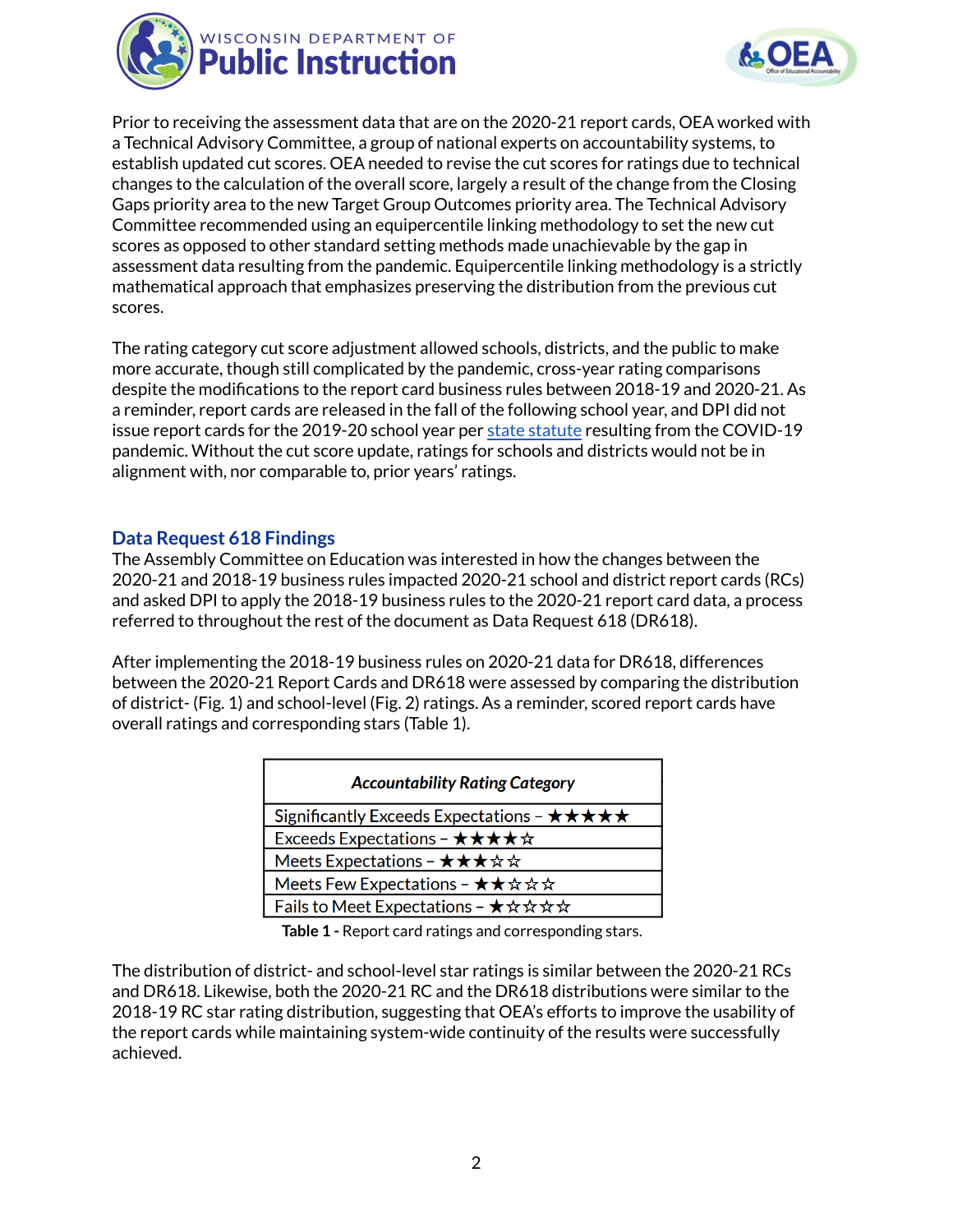



Prior to receiving the assessment data that are on the 2020-21 report cards, OEA worked with a Technical Advisory Committee, a group of national experts on accountability systems, to establish updated cut scores. OEA needed to revise the cut scores for ratings due to technical changes to the calculation of the overall score, largely a result of the change from the Closing Gaps priority area to the new Target Group Outcomes priority area. The Technical Advisory Committee recommended using an equipercentile linking methodology to set the new cut scores as opposed to other standard setting methods made unachievable by the gap in assessment data resulting from the pandemic. Equipercentile linking methodology is a strictly mathematical approach that emphasizes preserving the distribution from the previous cut scores.

The rating category cut score adjustment allowed schools, districts, and the public to make more accurate, though still complicated by the pandemic, cross-year rating comparisons despite the modifications to the report card business rules between 2018-19 and 2020-21. As a reminder, report cards are released in the fall of the following school year, and DPI did not issue report cards for the 2019-20 school year per state [statute](https://docs.legis.wisconsin.gov/document/statutes/115.385(6)) resulting from the COVID-19 pandemic. Without the cut score update, ratings for schools and districts would not be in alignment with, nor comparable to, prior years' ratings.

#### **Data Request 618 Findings**

The Assembly Committee on Education was interested in how the changes between the 2020-21 and 2018-19 business rules impacted 2020-21 school and district report cards (RCs) and asked DPI to apply the 2018-19 business rules to the 2020-21 report card data, a process referred to throughout the rest of the document as Data Request 618 (DR618).

After implementing the 2018-19 business rules on 2020-21 data for DR618, differences between the 2020-21 Report Cards and DR618 were assessed by comparing the distribution of district- (Fig. 1) and school-level (Fig. 2) ratings. As a reminder, scored report cards have overall ratings and corresponding stars (Table 1).

| <b>Accountability Rating Category</b>                                    |
|--------------------------------------------------------------------------|
| Significantly Exceeds Expectations - $\star\star\star\star\star$         |
| Exceeds Expectations - $\star \star \star \star \star$                   |
| Meets Expectations - $\star \star \star \star \star$                     |
| Meets Few Expectations - ★★☆☆☆                                           |
| Fails to Meet Expectations - $\star \, \star \, \star \, \star \, \star$ |

**Table 1 -** Report card ratings and corresponding stars.

The distribution of district- and school-level star ratings is similar between the 2020-21 RCs and DR618. Likewise, both the 2020-21 RC and the DR618 distributions were similar to the 2018-19 RC star rating distribution, suggesting that OEA's efforts to improve the usability of the report cards while maintaining system-wide continuity of the results were successfully achieved.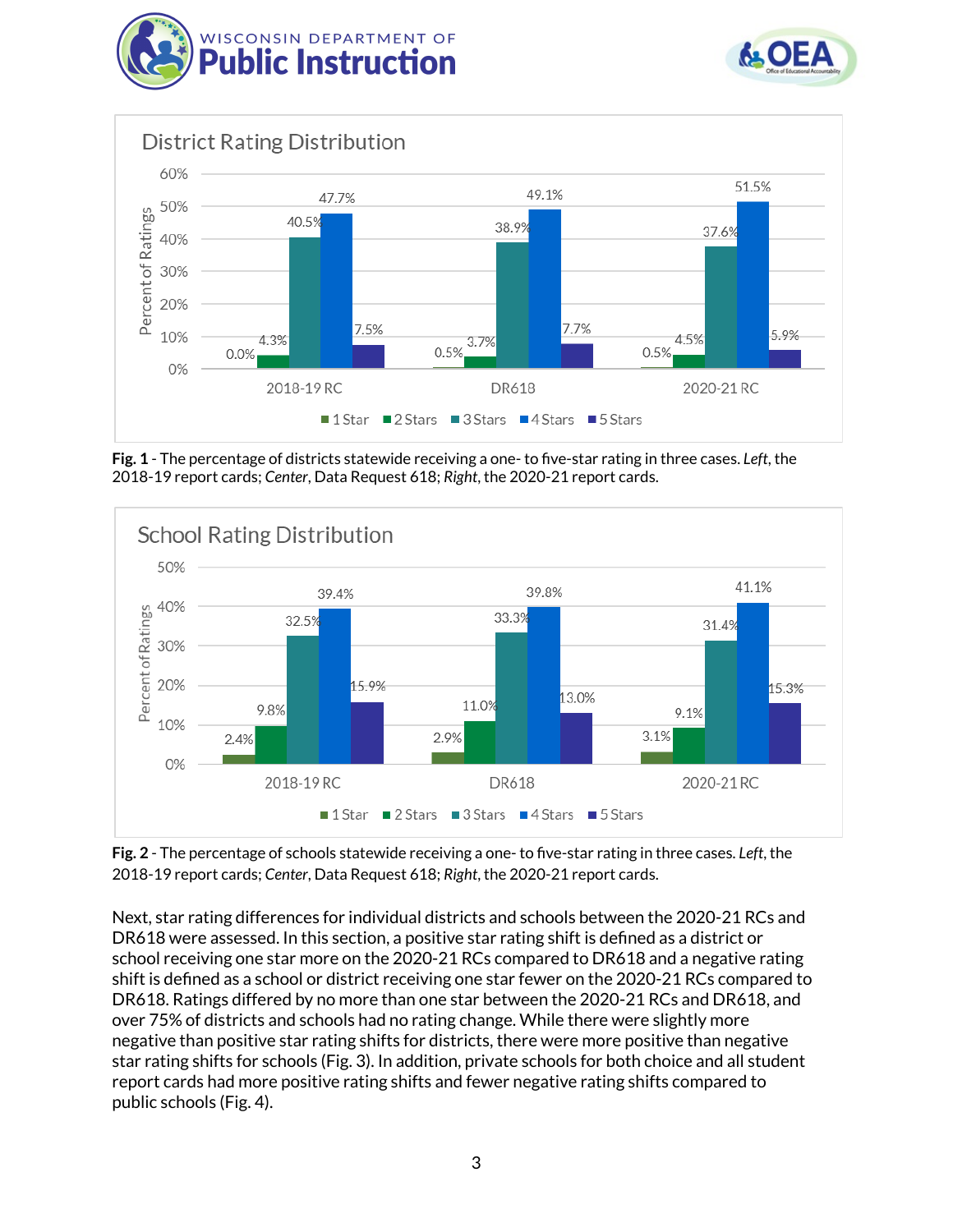





**Fig. 1** - The percentage of districts statewide receiving a one- to five-star rating in three cases. *Left*, the 2018-19 report cards; *Center*, Data Request 618; *Right*, the 2020-21 report cards.



**Fig. 2** - The percentage of schools statewide receiving a one- to five-star rating in three cases. *Left*, the 2018-19 report cards; *Center*, Data Request 618; *Right*, the 2020-21 report cards.

Next, star rating differences for individual districts and schools between the 2020-21 RCs and DR618 were assessed. In this section, a positive star rating shift is defined as a district or school receiving one star more on the 2020-21 RCs compared to DR618 and a negative rating shift is defined as a school or district receiving one star fewer on the 2020-21 RCs compared to DR618. Ratings differed by no more than one star between the 2020-21 RCs and DR618, and over 75% of districts and schools had no rating change. While there were slightly more negative than positive star rating shifts for districts, there were more positive than negative star rating shifts for schools (Fig. 3). In addition, private schools for both choice and all student report cards had more positive rating shifts and fewer negative rating shifts compared to public schools (Fig. 4).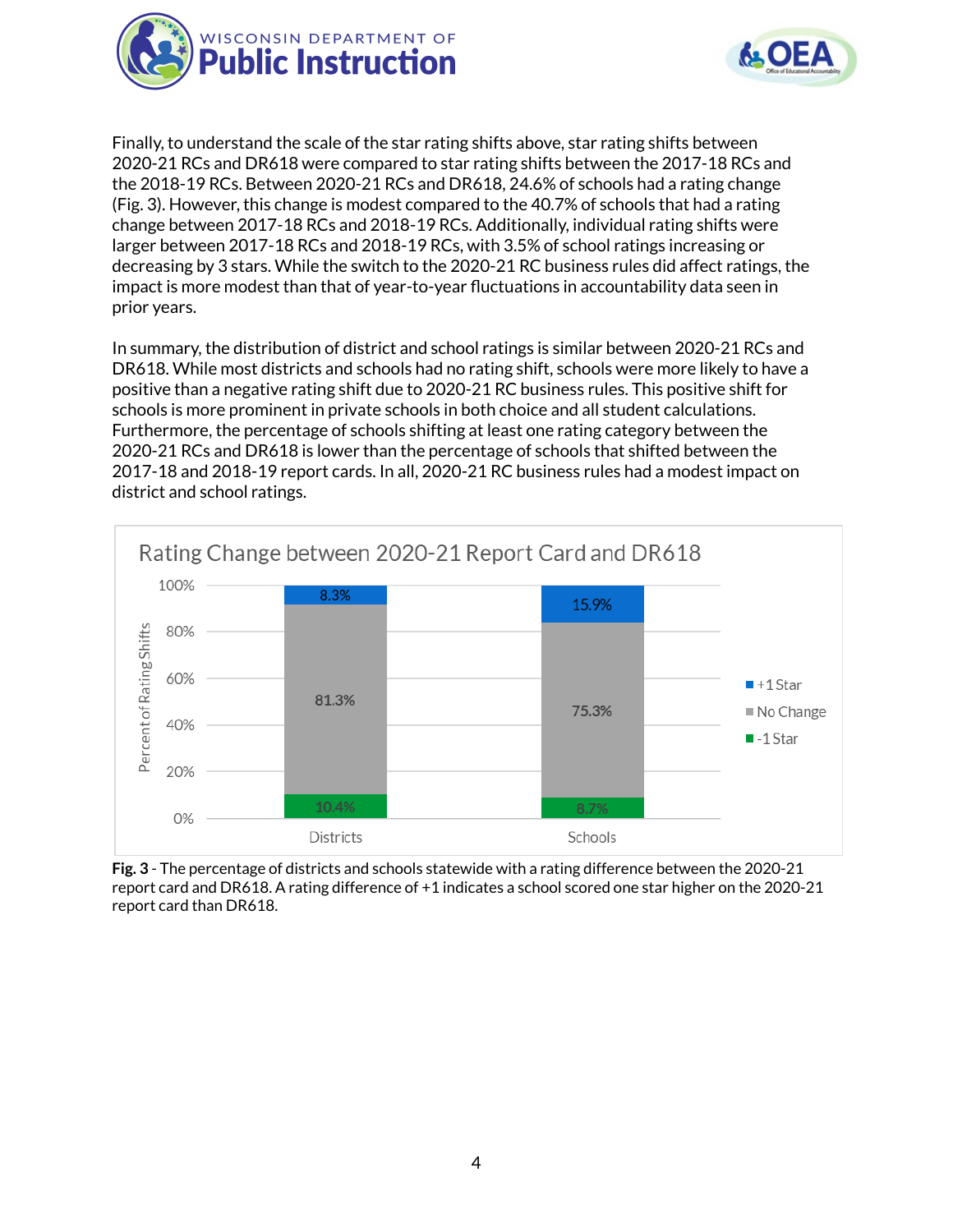



Finally, to understand the scale of the star rating shifts above, star rating shifts between 2020-21 RCs and DR618 were compared to star rating shifts between the 2017-18 RCs and the 2018-19 RCs. Between 2020-21 RCs and DR618, 24.6% of schools had a rating change (Fig. 3). However, this change is modest compared to the 40.7% of schools that had a rating change between 2017-18 RCs and 2018-19 RCs. Additionally, individual rating shifts were larger between 2017-18 RCs and 2018-19 RCs, with 3.5% of school ratings increasing or decreasing by 3 stars. While the switch to the 2020-21 RC business rules did affect ratings, the impact is more modest than that of year-to-year fluctuations in accountability data seen in prior years.

In summary, the distribution of district and school ratings is similar between 2020-21 RCs and DR618. While most districts and schools had no rating shift, schools were more likely to have a positive than a negative rating shift due to 2020-21 RC business rules. This positive shift for schools is more prominent in private schools in both choice and all student calculations. Furthermore, the percentage of schools shifting at least one rating category between the 2020-21 RCs and DR618 is lower than the percentage of schools that shifted between the 2017-18 and 2018-19 report cards. In all, 2020-21 RC business rules had a modest impact on district and school ratings.



**Fig. 3** - The percentage of districts and schools statewide with a rating difference between the 2020-21 report card and DR618. A rating difference of +1 indicates a school scored one star higher on the 2020-21 report card than DR618.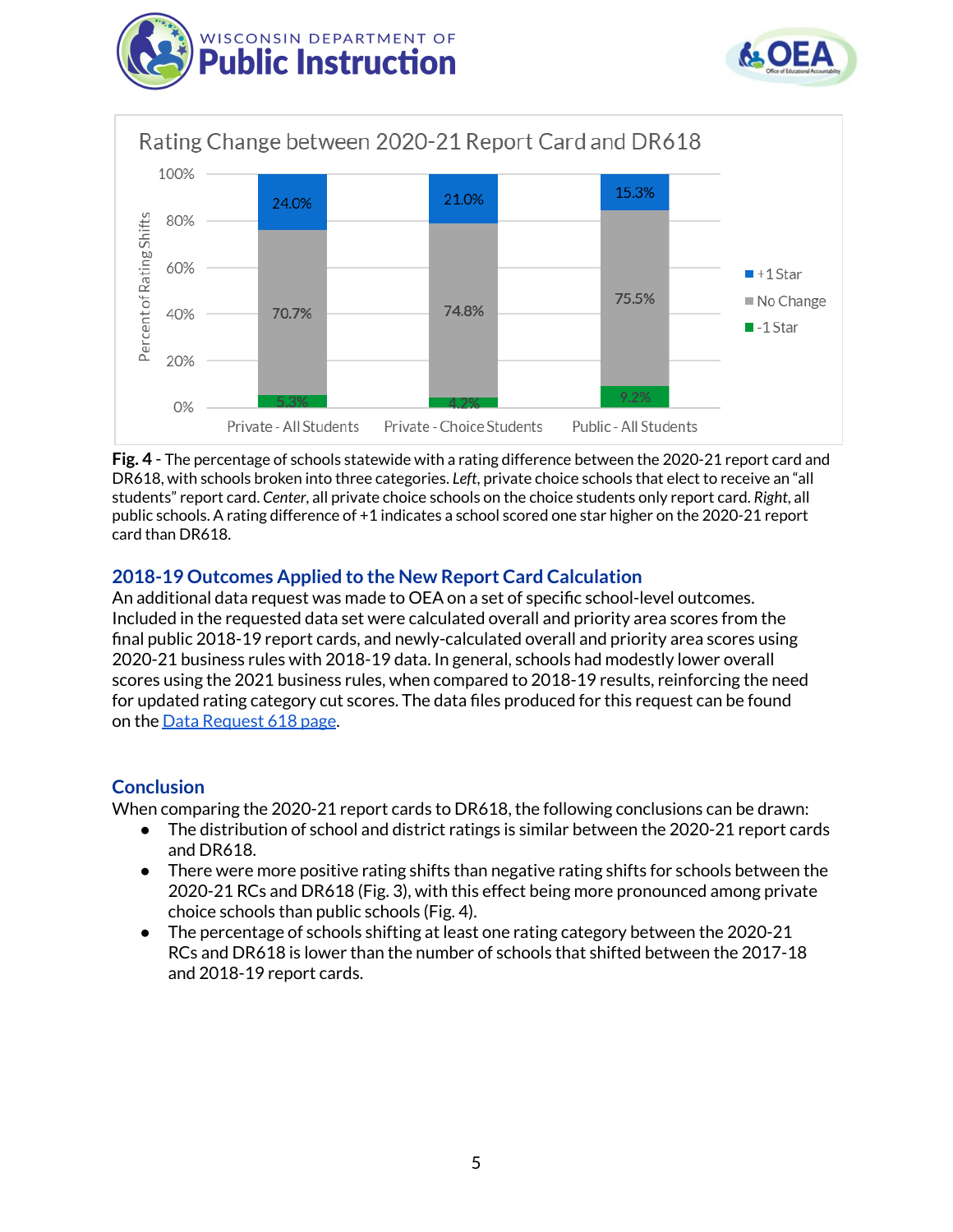





**Fig. 4** - The percentage of schools statewide with a rating difference between the 2020-21 report card and DR618, with schools broken into three categories. *Left*, private choice schools that elect to receive an "all students" report card. *Center*, all private choice schools on the choice students only report card. *Right*, all public schools. A rating difference of +1 indicates a school scored one star higher on the 2020-21 report card than DR618.

## **2018-19 Outcomes Applied to the New Report Card Calculation**

An additional data request was made to OEA on a set of specific school-level outcomes. Included in the requested data set were calculated overall and priority area scores from the final public 2018-19 report cards, and newly-calculated overall and priority area scores using 2020-21 business rules with 2018-19 data. In general, schools had modestly lower overall scores using the 2021 business rules, when compared to 2018-19 results, reinforcing the need for updated rating category cut scores. The data files produced for this request can be found on the Data [Request](https://dpi.wi.gov/accountability/historical/data-request-618) 618 page.

#### **Conclusion**

When comparing the 2020-21 report cards to DR618, the following conclusions can be drawn:

- The distribution of school and district ratings is similar between the 2020-21 report cards and DR618.
- There were more positive rating shifts than negative rating shifts for schools between the 2020-21 RCs and DR618 (Fig. 3), with this effect being more pronounced among private choice schools than public schools (Fig. 4).
- The percentage of schools shifting at least one rating category between the 2020-21 RCs and DR618 is lower than the number of schools that shifted between the 2017-18 and 2018-19 report cards.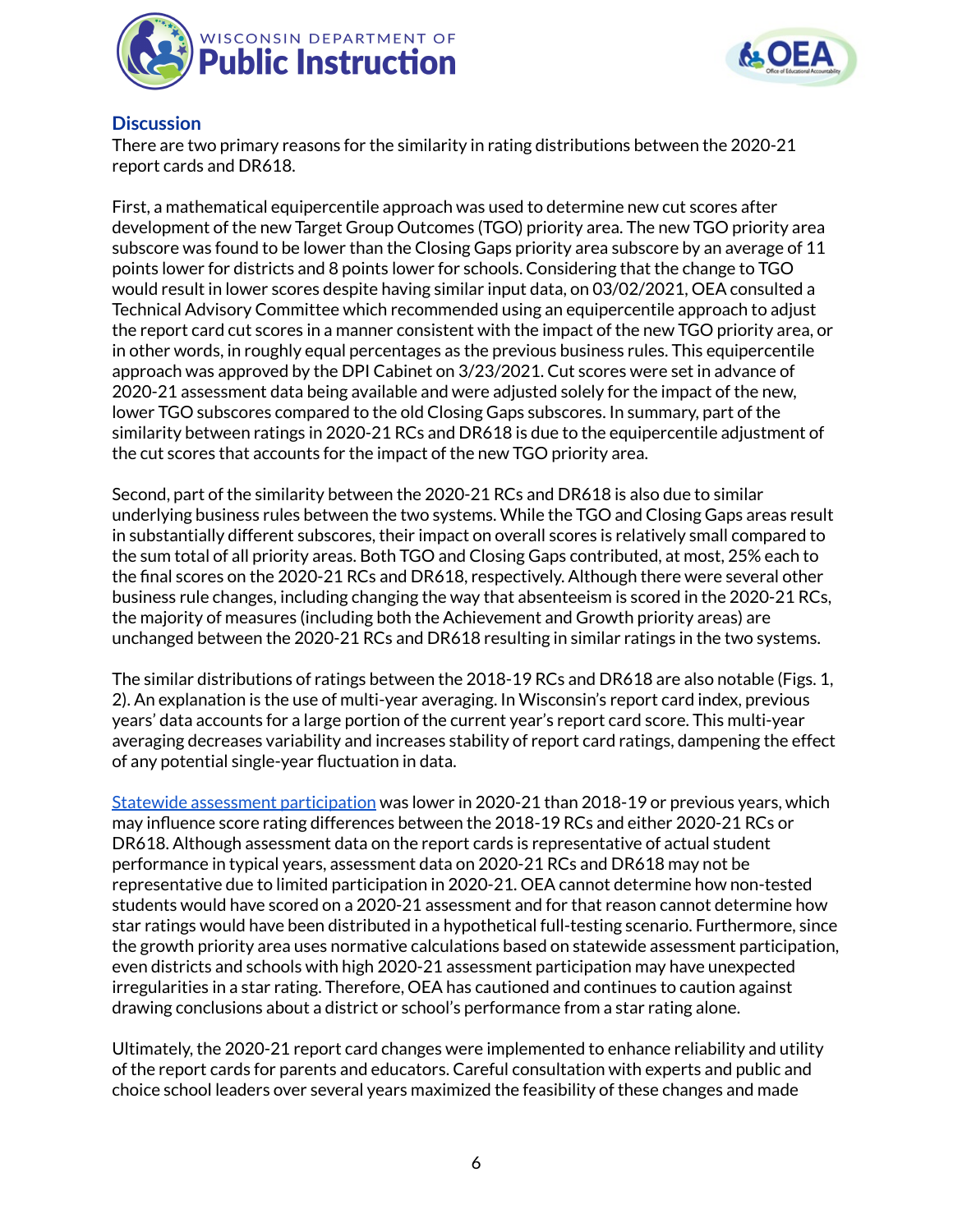



#### **Discussion**

There are two primary reasons for the similarity in rating distributions between the 2020-21 report cards and DR618.

First, a mathematical equipercentile approach was used to determine new cut scores after development of the new Target Group Outcomes (TGO) priority area. The new TGO priority area subscore was found to be lower than the Closing Gaps priority area subscore by an average of 11 points lower for districts and 8 points lower for schools. Considering that the change to TGO would result in lower scores despite having similar input data, on 03/02/2021, OEA consulted a Technical Advisory Committee which recommended using an equipercentile approach to adjust the report card cut scores in a manner consistent with the impact of the new TGO priority area, or in other words, in roughly equal percentages as the previous business rules. This equipercentile approach was approved by the DPI Cabinet on 3/23/2021. Cut scores were set in advance of 2020-21 assessment data being available and were adjusted solely for the impact of the new, lower TGO subscores compared to the old Closing Gaps subscores. In summary, part of the similarity between ratings in 2020-21 RCs and DR618 is due to the equipercentile adjustment of the cut scores that accounts for the impact of the new TGO priority area.

Second, part of the similarity between the 2020-21 RCs and DR618 is also due to similar underlying business rules between the two systems. While the TGO and Closing Gaps areas result in substantially different subscores, their impact on overall scores is relatively small compared to the sum total of all priority areas. Both TGO and Closing Gaps contributed, at most, 25% each to the final scores on the 2020-21 RCs and DR618, respectively. Although there were several other business rule changes, including changing the way that absenteeism is scored in the 2020-21 RCs, the majority of measures (including both the Achievement and Growth priority areas) are unchanged between the 2020-21 RCs and DR618 resulting in similar ratings in the two systems.

The similar distributions of ratings between the 2018-19 RCs and DR618 are also notable (Figs. 1, 2). An explanation is the use of multi-year averaging. In Wisconsin's report card index, previous years' data accounts for a large portion of the current year's report card score. This multi-year averaging decreases variability and increases stability of report card ratings, dampening the effect of any potential single-year fluctuation in data.

Statewide assessment [participation](https://dpi.wi.gov/sites/default/files/imce/assessment/pdf/Statewide_Assessments_Things_to_Know.pdf) was lower in 2020-21 than 2018-19 or previous years, which may influence score rating differences between the 2018-19 RCs and either 2020-21 RCs or DR618. Although assessment data on the report cards is representative of actual student performance in typical years, assessment data on 2020-21 RCs and DR618 may not be representative due to limited participation in 2020-21. OEA cannot determine how non-tested students would have scored on a 2020-21 assessment and for that reason cannot determine how star ratings would have been distributed in a hypothetical full-testing scenario. Furthermore, since the growth priority area uses normative calculations based on statewide assessment participation, even districts and schools with high 2020-21 assessment participation may have unexpected irregularities in a star rating. Therefore, OEA has cautioned and continues to caution against drawing conclusions about a district or school's performance from a star rating alone.

Ultimately, the 2020-21 report card changes were implemented to enhance reliability and utility of the report cards for parents and educators. Careful consultation with experts and public and choice school leaders over several years maximized the feasibility of these changes and made